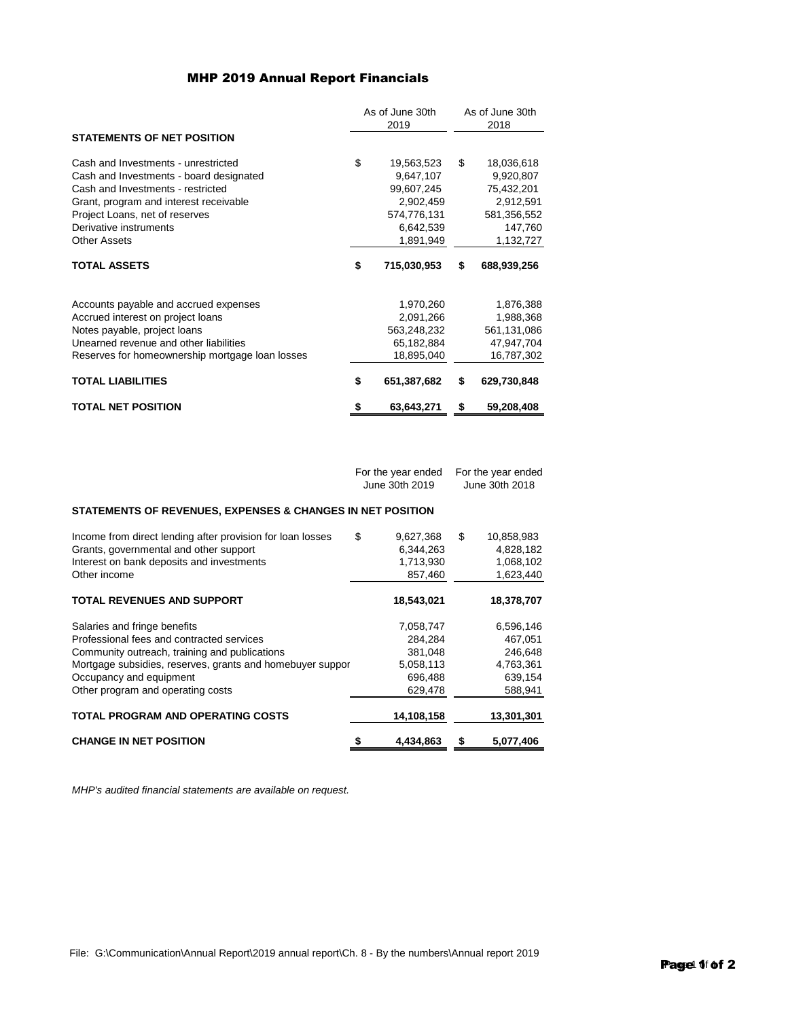## MHP 2019 Annual Report Financials

|                                                 |    | As of June 30th<br>2019 |    | As of June 30th<br>2018 |  |
|-------------------------------------------------|----|-------------------------|----|-------------------------|--|
| <b>STATEMENTS OF NET POSITION</b>               |    |                         |    |                         |  |
| Cash and Investments - unrestricted             | \$ | 19,563,523              | \$ | 18,036,618              |  |
| Cash and Investments - board designated         |    | 9,647,107               |    | 9,920,807               |  |
| Cash and Investments - restricted               |    | 99,607,245              |    | 75,432,201              |  |
| Grant, program and interest receivable          |    | 2,902,459               |    | 2,912,591               |  |
| Project Loans, net of reserves                  |    | 574,776,131             |    | 581,356,552             |  |
| Derivative instruments                          |    | 6,642,539               |    | 147,760                 |  |
| <b>Other Assets</b>                             |    | 1,891,949               |    | 1,132,727               |  |
| <b>TOTAL ASSETS</b>                             | \$ | 715,030,953             | \$ | 688,939,256             |  |
| Accounts payable and accrued expenses           |    | 1,970,260               |    | 1,876,388               |  |
| Accrued interest on project loans               |    | 2,091,266               |    | 1,988,368               |  |
| Notes payable, project loans                    |    | 563,248,232             |    | 561,131,086             |  |
| Unearned revenue and other liabilities          |    | 65,182,884              |    | 47,947,704              |  |
| Reserves for homeownership mortgage loan losses |    | 18,895,040              |    | 16,787,302              |  |
| <b>TOTAL LIABILITIES</b>                        | \$ | 651,387,682             | \$ | 629,730,848             |  |
| <b>TOTAL NET POSITION</b>                       | \$ | 63,643,271              | \$ | 59,208,408              |  |

For the year ended For the year ended June 30th 2019 June 30th 2018

## **STATEMENTS OF REVENUES, EXPENSES & CHANGES IN NET POSITION**

| Income from direct lending after provision for loan losses<br>Grants, governmental and other support<br>Interest on bank deposits and investments<br>Other income                                                                                       | \$<br>9,627,368<br>6,344,263<br>1,713,930<br>857,460               | \$<br>10,858,983<br>4,828,182<br>1,068,102<br>1,623,440            |
|---------------------------------------------------------------------------------------------------------------------------------------------------------------------------------------------------------------------------------------------------------|--------------------------------------------------------------------|--------------------------------------------------------------------|
| <b>TOTAL REVENUES AND SUPPORT</b>                                                                                                                                                                                                                       | 18,543,021                                                         | 18,378,707                                                         |
| Salaries and fringe benefits<br>Professional fees and contracted services<br>Community outreach, training and publications<br>Mortgage subsidies, reserves, grants and homebuyer suppor<br>Occupancy and equipment<br>Other program and operating costs | 7,058,747<br>284,284<br>381,048<br>5,058,113<br>696,488<br>629,478 | 6,596,146<br>467,051<br>246,648<br>4,763,361<br>639,154<br>588,941 |
| <b>TOTAL PROGRAM AND OPERATING COSTS</b>                                                                                                                                                                                                                | 14,108,158                                                         | 13,301,301                                                         |
| <b>CHANGE IN NET POSITION</b>                                                                                                                                                                                                                           | 4,434,863                                                          | 5,077,406                                                          |

*MHP's audited financial statements are available on request.*